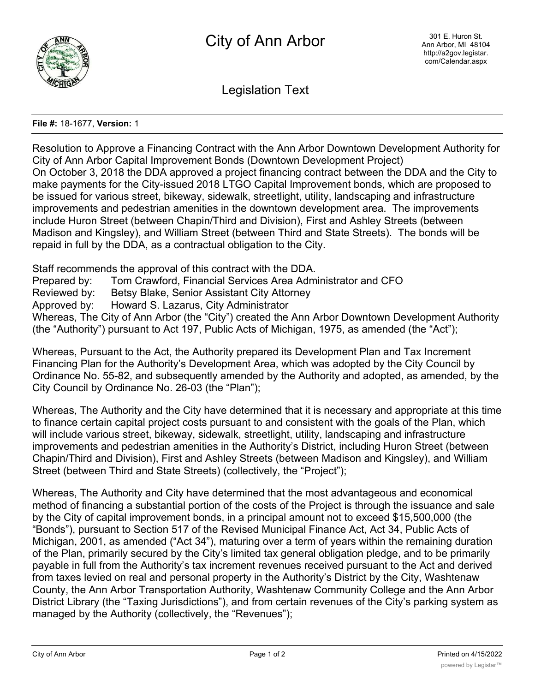

Legislation Text

## **File #:** 18-1677, **Version:** 1

Resolution to Approve a Financing Contract with the Ann Arbor Downtown Development Authority for City of Ann Arbor Capital Improvement Bonds (Downtown Development Project) On October 3, 2018 the DDA approved a project financing contract between the DDA and the City to make payments for the City-issued 2018 LTGO Capital Improvement bonds, which are proposed to be issued for various street, bikeway, sidewalk, streetlight, utility, landscaping and infrastructure improvements and pedestrian amenities in the downtown development area. The improvements include Huron Street (between Chapin/Third and Division), First and Ashley Streets (between Madison and Kingsley), and William Street (between Third and State Streets). The bonds will be repaid in full by the DDA, as a contractual obligation to the City.

Staff recommends the approval of this contract with the DDA.

Prepared by: Tom Crawford, Financial Services Area Administrator and CFO

Reviewed by: Betsy Blake, Senior Assistant City Attorney

Approved by: Howard S. Lazarus, City Administrator

Whereas, The City of Ann Arbor (the "City") created the Ann Arbor Downtown Development Authority (the "Authority") pursuant to Act 197, Public Acts of Michigan, 1975, as amended (the "Act");

Whereas, Pursuant to the Act, the Authority prepared its Development Plan and Tax Increment Financing Plan for the Authority's Development Area, which was adopted by the City Council by Ordinance No. 55-82, and subsequently amended by the Authority and adopted, as amended, by the City Council by Ordinance No. 26-03 (the "Plan");

Whereas, The Authority and the City have determined that it is necessary and appropriate at this time to finance certain capital project costs pursuant to and consistent with the goals of the Plan, which will include various street, bikeway, sidewalk, streetlight, utility, landscaping and infrastructure improvements and pedestrian amenities in the Authority's District, including Huron Street (between Chapin/Third and Division), First and Ashley Streets (between Madison and Kingsley), and William Street (between Third and State Streets) (collectively, the "Project");

Whereas, The Authority and City have determined that the most advantageous and economical method of financing a substantial portion of the costs of the Project is through the issuance and sale by the City of capital improvement bonds, in a principal amount not to exceed \$15,500,000 (the "Bonds"), pursuant to Section 517 of the Revised Municipal Finance Act, Act 34, Public Acts of Michigan, 2001, as amended ("Act 34"), maturing over a term of years within the remaining duration of the Plan, primarily secured by the City's limited tax general obligation pledge, and to be primarily payable in full from the Authority's tax increment revenues received pursuant to the Act and derived from taxes levied on real and personal property in the Authority's District by the City, Washtenaw County, the Ann Arbor Transportation Authority, Washtenaw Community College and the Ann Arbor District Library (the "Taxing Jurisdictions"), and from certain revenues of the City's parking system as managed by the Authority (collectively, the "Revenues");